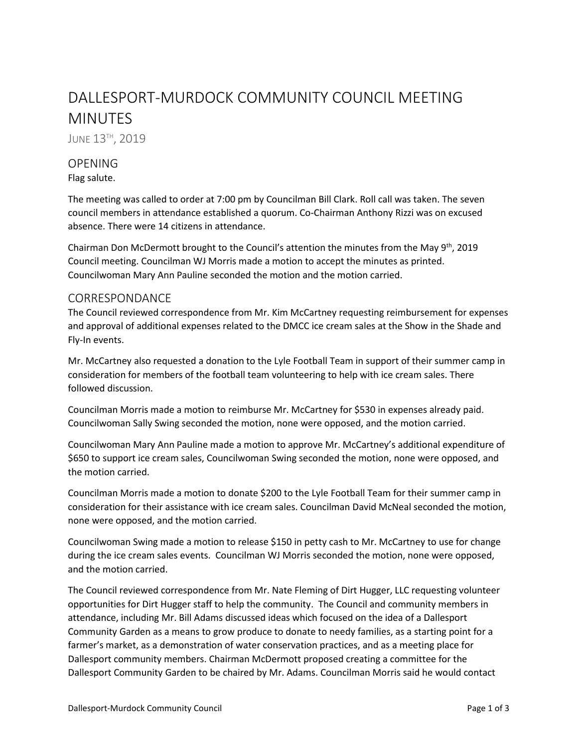# DALLESPORT-MURDOCK COMMUNITY COUNCIL MEETING MINUTES

JUNE 13<sup>TH</sup>, 2019

# **OPENING**

Flag salute.

The meeting was called to order at 7:00 pm by Councilman Bill Clark. Roll call was taken. The seven council members in attendance established a quorum. Co-Chairman Anthony Rizzi was on excused absence. There were 14 citizens in attendance.

Chairman Don McDermott brought to the Council's attention the minutes from the May  $9<sup>th</sup>$ , 2019 Council meeting. Councilman WJ Morris made a motion to accept the minutes as printed. Councilwoman Mary Ann Pauline seconded the motion and the motion carried.

### CORRESPONDANCE

The Council reviewed correspondence from Mr. Kim McCartney requesting reimbursement for expenses and approval of additional expenses related to the DMCC ice cream sales at the Show in the Shade and Fly-In events.

Mr. McCartney also requested a donation to the Lyle Football Team in support of their summer camp in consideration for members of the football team volunteering to help with ice cream sales. There followed discussion.

Councilman Morris made a motion to reimburse Mr. McCartney for \$530 in expenses already paid. Councilwoman Sally Swing seconded the motion, none were opposed, and the motion carried.

Councilwoman Mary Ann Pauline made a motion to approve Mr. McCartney's additional expenditure of \$650 to support ice cream sales, Councilwoman Swing seconded the motion, none were opposed, and the motion carried.

Councilman Morris made a motion to donate \$200 to the Lyle Football Team for their summer camp in consideration for their assistance with ice cream sales. Councilman David McNeal seconded the motion, none were opposed, and the motion carried.

Councilwoman Swing made a motion to release \$150 in petty cash to Mr. McCartney to use for change during the ice cream sales events. Councilman WJ Morris seconded the motion, none were opposed, and the motion carried.

The Council reviewed correspondence from Mr. Nate Fleming of Dirt Hugger, LLC requesting volunteer opportunities for Dirt Hugger staff to help the community. The Council and community members in attendance, including Mr. Bill Adams discussed ideas which focused on the idea of a Dallesport Community Garden as a means to grow produce to donate to needy families, as a starting point for a farmer's market, as a demonstration of water conservation practices, and as a meeting place for Dallesport community members. Chairman McDermott proposed creating a committee for the Dallesport Community Garden to be chaired by Mr. Adams. Councilman Morris said he would contact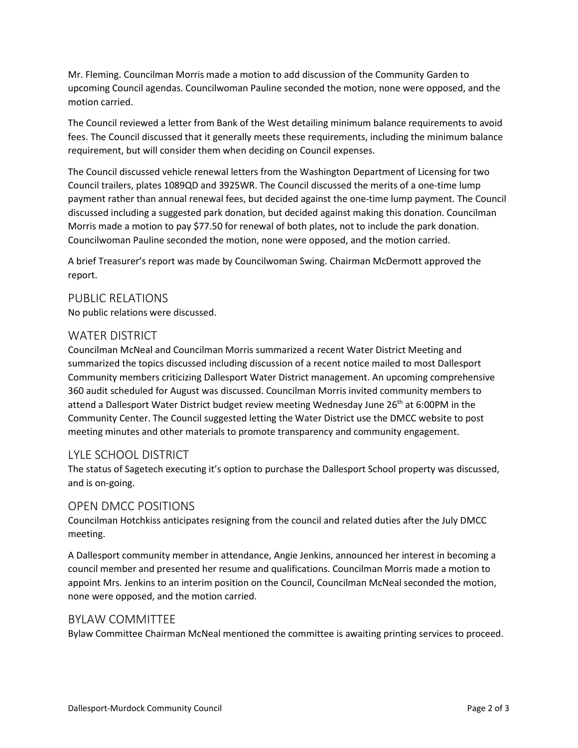Mr. Fleming. Councilman Morris made a motion to add discussion of the Community Garden to upcoming Council agendas. Councilwoman Pauline seconded the motion, none were opposed, and the motion carried.

The Council reviewed a letter from Bank of the West detailing minimum balance requirements to avoid fees. The Council discussed that it generally meets these requirements, including the minimum balance requirement, but will consider them when deciding on Council expenses.

The Council discussed vehicle renewal letters from the Washington Department of Licensing for two Council trailers, plates 1089QD and 3925WR. The Council discussed the merits of a one-time lump payment rather than annual renewal fees, but decided against the one-time lump payment. The Council discussed including a suggested park donation, but decided against making this donation. Councilman Morris made a motion to pay \$77.50 for renewal of both plates, not to include the park donation. Councilwoman Pauline seconded the motion, none were opposed, and the motion carried.

A brief Treasurer's report was made by Councilwoman Swing. Chairman McDermott approved the report.

## PUBLIC RELATIONS No public relations were discussed.

### WATER DISTRICT

Councilman McNeal and Councilman Morris summarized a recent Water District Meeting and summarized the topics discussed including discussion of a recent notice mailed to most Dallesport Community members criticizing Dallesport Water District management. An upcoming comprehensive 360 audit scheduled for August was discussed. Councilman Morris invited community members to attend a Dallesport Water District budget review meeting Wednesday June 26<sup>th</sup> at 6:00PM in the Community Center. The Council suggested letting the Water District use the DMCC website to post meeting minutes and other materials to promote transparency and community engagement.

# LYLE SCHOOL DISTRICT

The status of Sagetech executing it's option to purchase the Dallesport School property was discussed, and is on-going.

# OPEN DMCC POSITIONS

Councilman Hotchkiss anticipates resigning from the council and related duties after the July DMCC meeting.

A Dallesport community member in attendance, Angie Jenkins, announced her interest in becoming a council member and presented her resume and qualifications. Councilman Morris made a motion to appoint Mrs. Jenkins to an interim position on the Council, Councilman McNeal seconded the motion, none were opposed, and the motion carried.

# BYLAW COMMITTEE

Bylaw Committee Chairman McNeal mentioned the committee is awaiting printing services to proceed.